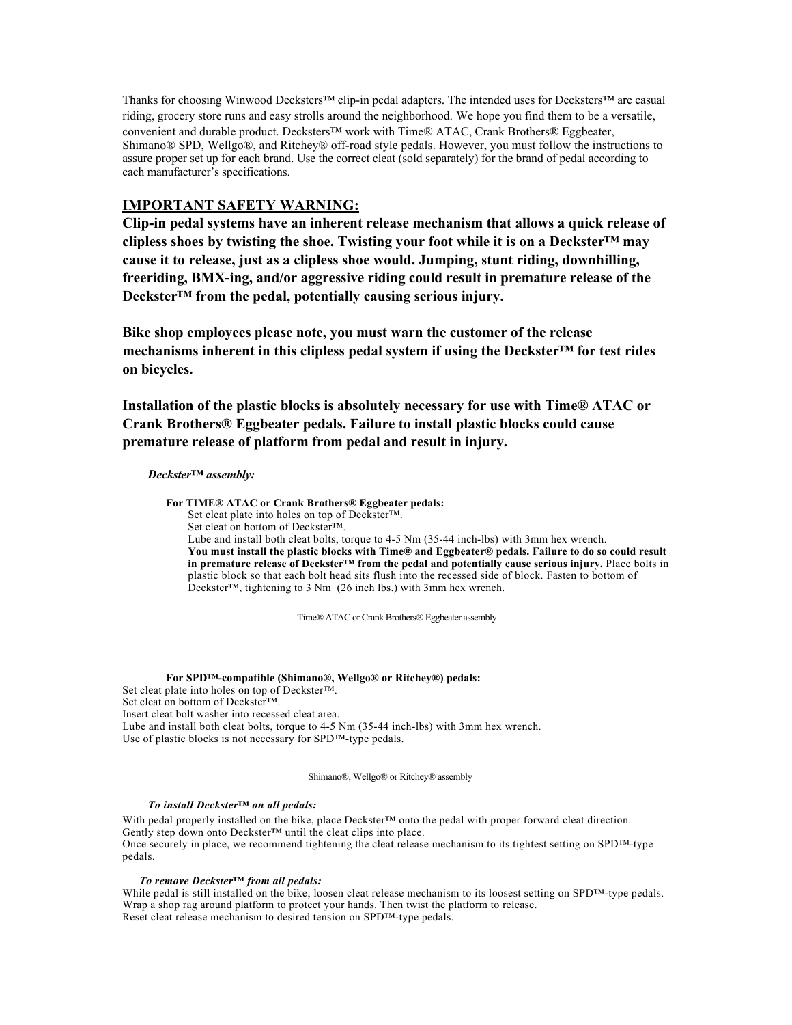Thanks for choosing Winwood Decksters™ clip-in pedal adapters. The intended uses for Decksters™ are casual riding, grocery store runs and easy strolls around the neighborhood. We hope you find them to be a versatile, convenient and durable product. Decksters™ work with Time® ATAC, Crank Brothers® Eggbeater, Shimano® SPD, Wellgo®, and Ritchey® off-road style pedals. However, you must follow the instructions to assure proper set up for each brand. Use the correct cleat (sold separately) for the brand of pedal according to each manufacturer's specifications.

# **IMPORTANT SAFETY WARNING:**

**Clip-in pedal systems have an inherent release mechanism that allows a quick release of clipless shoes by twisting the shoe. Twisting your foot while it is on a Deckster™ may cause it to release, just as a clipless shoe would. Jumping, stunt riding, downhilling, freeriding, BMX-ing, and/or aggressive riding could result in premature release of the Deckster™ from the pedal, potentially causing serious injury.**

**Bike shop employees please note, you must warn the customer of the release mechanisms inherent in this clipless pedal system if using the Deckster™ for test rides on bicycles.**

**Installation of the plastic blocks is absolutely necessary for use with Time® ATAC or Crank Brothers® Eggbeater pedals. Failure to install plastic blocks could cause premature release of platform from pedal and result in injury.**

## *Deckster™ assembly:*

**For TIME® ATAC or Crank Brothers® Eggbeater pedals:**

Set cleat plate into holes on top of Deckster™.

Set cleat on bottom of Deckster™.

Lube and install both cleat bolts, torque to 4-5 Nm (35-44 inch-lbs) with 3mm hex wrench. **You must install the plastic blocks with Time® and Eggbeater® pedals. Failure to do so could result in premature release of Deckster™ from the pedal and potentially cause serious injury.** Place bolts in plastic block so that each bolt head sits flush into the recessed side of block. Fasten to bottom of Deckster™, tightening to 3 Nm (26 inch lbs.) with 3mm hex wrench.

Time® ATAC or Crank Brothers® Eggbeater assembly

### **For SPD™-compatible (Shimano®, Wellgo® or Ritchey®) pedals:**

Set cleat plate into holes on top of Deckster™. Set cleat on bottom of Deckster™. Insert cleat bolt washer into recessed cleat area. Lube and install both cleat bolts, torque to 4-5 Nm (35-44 inch-lbs) with 3mm hex wrench. Use of plastic blocks is not necessary for SPD™-type pedals.

Shimano®, Wellgo® or Ritchey® assembly

### *To install Deckster™ on all pedals:*

With pedal properly installed on the bike, place Deckster™ onto the pedal with proper forward cleat direction. Gently step down onto Deckster™ until the cleat clips into place. Once securely in place, we recommend tightening the cleat release mechanism to its tightest setting on SPD™-type pedals.

### *To remove Deckster™ from all pedals:*

While pedal is still installed on the bike, loosen cleat release mechanism to its loosest setting on SPD<sup>™</sup>-type pedals. Wrap a shop rag around platform to protect your hands. Then twist the platform to release. Reset cleat release mechanism to desired tension on SPD™-type pedals.